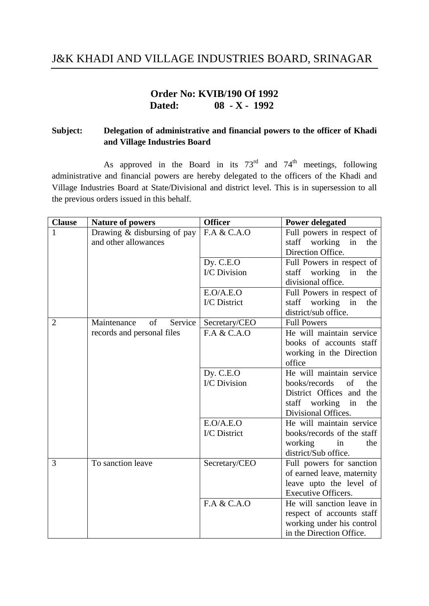## J&K KHADI AND VILLAGE INDUSTRIES BOARD, SRINAGAR

## **Order No: KVIB/190 Of 1992 Dated: 08 - X - 1992**

## **Subject: Delegation of administrative and financial powers to the officer of Khadi and Village Industries Board**

As approved in the Board in its  $73<sup>rd</sup>$  and  $74<sup>th</sup>$  meetings, following administrative and financial powers are hereby delegated to the officers of the Khadi and Village Industries Board at State/Divisional and district level. This is in supersession to all the previous orders issued in this behalf.

| <b>Clause</b>  | <b>Nature of powers</b>      | <b>Officer</b>            | <b>Power delegated</b>        |
|----------------|------------------------------|---------------------------|-------------------------------|
| 1              | Drawing & disbursing of pay  | F.A & C.A.O               | Full powers in respect of     |
|                | and other allowances         |                           | working<br>staff<br>in<br>the |
|                |                              |                           | Direction Office.             |
|                |                              | Dy. C.E.O                 | Full Powers in respect of     |
|                |                              | I/C Division              | staff working<br>in<br>the    |
|                |                              |                           | divisional office.            |
|                |                              | E.O/A.E.O                 | Full Powers in respect of     |
|                |                              | I/C District              | working<br>in<br>staff<br>the |
|                |                              |                           | district/sub office.          |
| $\overline{2}$ | of<br>Maintenance<br>Service | Secretary/CEO             | <b>Full Powers</b>            |
|                | records and personal files   | F.A & C.A.O               | He will maintain service      |
|                |                              |                           | books of accounts staff       |
|                |                              |                           | working in the Direction      |
|                |                              |                           | office                        |
|                |                              | Dy. C.E.O                 | He will maintain service      |
|                |                              | <b>I/C</b> Division       | books/records<br>of<br>the    |
|                |                              |                           | District Offices and the      |
|                |                              |                           | staff working<br>in<br>the    |
|                |                              |                           | Divisional Offices.           |
|                |                              | E.O/A.E.O                 | He will maintain service      |
|                |                              | I/C District              | books/records of the staff    |
|                |                              |                           | working<br>in<br>the          |
|                |                              |                           | district/Sub office.          |
| 3              | To sanction leave            | Secretary/CEO             | Full powers for sanction      |
|                |                              |                           | of earned leave, maternity    |
|                |                              |                           | leave upto the level of       |
|                |                              |                           | <b>Executive Officers.</b>    |
|                |                              | $\overline{F.A \& C.A.O}$ | He will sanction leave in     |
|                |                              |                           | respect of accounts staff     |
|                |                              |                           | working under his control     |
|                |                              |                           | in the Direction Office.      |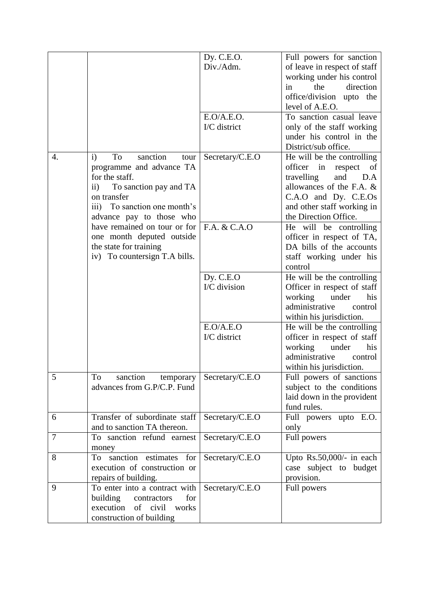| Dy. C.E.O.<br>Full powers for sanction<br>Div./Adm.<br>of leave in respect of staff<br>working under his control<br>direction<br>the<br>in<br>office/division upto the<br>level of A.E.O.<br>To sanction casual leave<br>E.O/A.E.O.<br>I/C district<br>only of the staff working<br>under his control in the<br>District/sub office.<br>sanction<br>To<br>He will be the controlling<br>4.<br>Secretary/C.E.O<br>$\mathbf{i}$<br>tour<br>officer in respect<br>programme and advance TA<br>of<br>for the staff.<br>travelling<br>and<br>D.A<br>allowances of the F.A. &<br>To sanction pay and TA<br>$\rm ii)$<br>C.A.O and Dy. C.E.Os<br>on transfer<br>iii) To sanction one month's<br>and other staff working in<br>the Direction Office.<br>advance pay to those who<br>$\overline{F.A. \& C.A.0}$<br>have remained on tour or for<br>He will be controlling<br>one month deputed outside<br>officer in respect of TA,<br>the state for training<br>DA bills of the accounts<br>iv) To countersign T.A bills.<br>staff working under his<br>control<br>Dy. C.E.O<br>He will be the controlling |
|----------------------------------------------------------------------------------------------------------------------------------------------------------------------------------------------------------------------------------------------------------------------------------------------------------------------------------------------------------------------------------------------------------------------------------------------------------------------------------------------------------------------------------------------------------------------------------------------------------------------------------------------------------------------------------------------------------------------------------------------------------------------------------------------------------------------------------------------------------------------------------------------------------------------------------------------------------------------------------------------------------------------------------------------------------------------------------------------------|
|                                                                                                                                                                                                                                                                                                                                                                                                                                                                                                                                                                                                                                                                                                                                                                                                                                                                                                                                                                                                                                                                                                    |
|                                                                                                                                                                                                                                                                                                                                                                                                                                                                                                                                                                                                                                                                                                                                                                                                                                                                                                                                                                                                                                                                                                    |
|                                                                                                                                                                                                                                                                                                                                                                                                                                                                                                                                                                                                                                                                                                                                                                                                                                                                                                                                                                                                                                                                                                    |
|                                                                                                                                                                                                                                                                                                                                                                                                                                                                                                                                                                                                                                                                                                                                                                                                                                                                                                                                                                                                                                                                                                    |
|                                                                                                                                                                                                                                                                                                                                                                                                                                                                                                                                                                                                                                                                                                                                                                                                                                                                                                                                                                                                                                                                                                    |
|                                                                                                                                                                                                                                                                                                                                                                                                                                                                                                                                                                                                                                                                                                                                                                                                                                                                                                                                                                                                                                                                                                    |
|                                                                                                                                                                                                                                                                                                                                                                                                                                                                                                                                                                                                                                                                                                                                                                                                                                                                                                                                                                                                                                                                                                    |
|                                                                                                                                                                                                                                                                                                                                                                                                                                                                                                                                                                                                                                                                                                                                                                                                                                                                                                                                                                                                                                                                                                    |
|                                                                                                                                                                                                                                                                                                                                                                                                                                                                                                                                                                                                                                                                                                                                                                                                                                                                                                                                                                                                                                                                                                    |
|                                                                                                                                                                                                                                                                                                                                                                                                                                                                                                                                                                                                                                                                                                                                                                                                                                                                                                                                                                                                                                                                                                    |
|                                                                                                                                                                                                                                                                                                                                                                                                                                                                                                                                                                                                                                                                                                                                                                                                                                                                                                                                                                                                                                                                                                    |
|                                                                                                                                                                                                                                                                                                                                                                                                                                                                                                                                                                                                                                                                                                                                                                                                                                                                                                                                                                                                                                                                                                    |
|                                                                                                                                                                                                                                                                                                                                                                                                                                                                                                                                                                                                                                                                                                                                                                                                                                                                                                                                                                                                                                                                                                    |
|                                                                                                                                                                                                                                                                                                                                                                                                                                                                                                                                                                                                                                                                                                                                                                                                                                                                                                                                                                                                                                                                                                    |
|                                                                                                                                                                                                                                                                                                                                                                                                                                                                                                                                                                                                                                                                                                                                                                                                                                                                                                                                                                                                                                                                                                    |
|                                                                                                                                                                                                                                                                                                                                                                                                                                                                                                                                                                                                                                                                                                                                                                                                                                                                                                                                                                                                                                                                                                    |
|                                                                                                                                                                                                                                                                                                                                                                                                                                                                                                                                                                                                                                                                                                                                                                                                                                                                                                                                                                                                                                                                                                    |
|                                                                                                                                                                                                                                                                                                                                                                                                                                                                                                                                                                                                                                                                                                                                                                                                                                                                                                                                                                                                                                                                                                    |
|                                                                                                                                                                                                                                                                                                                                                                                                                                                                                                                                                                                                                                                                                                                                                                                                                                                                                                                                                                                                                                                                                                    |
|                                                                                                                                                                                                                                                                                                                                                                                                                                                                                                                                                                                                                                                                                                                                                                                                                                                                                                                                                                                                                                                                                                    |
|                                                                                                                                                                                                                                                                                                                                                                                                                                                                                                                                                                                                                                                                                                                                                                                                                                                                                                                                                                                                                                                                                                    |
|                                                                                                                                                                                                                                                                                                                                                                                                                                                                                                                                                                                                                                                                                                                                                                                                                                                                                                                                                                                                                                                                                                    |
|                                                                                                                                                                                                                                                                                                                                                                                                                                                                                                                                                                                                                                                                                                                                                                                                                                                                                                                                                                                                                                                                                                    |
|                                                                                                                                                                                                                                                                                                                                                                                                                                                                                                                                                                                                                                                                                                                                                                                                                                                                                                                                                                                                                                                                                                    |
| I/C division<br>Officer in respect of staff                                                                                                                                                                                                                                                                                                                                                                                                                                                                                                                                                                                                                                                                                                                                                                                                                                                                                                                                                                                                                                                        |
| working<br>under<br>his                                                                                                                                                                                                                                                                                                                                                                                                                                                                                                                                                                                                                                                                                                                                                                                                                                                                                                                                                                                                                                                                            |
| administrative<br>control                                                                                                                                                                                                                                                                                                                                                                                                                                                                                                                                                                                                                                                                                                                                                                                                                                                                                                                                                                                                                                                                          |
| within his jurisdiction.                                                                                                                                                                                                                                                                                                                                                                                                                                                                                                                                                                                                                                                                                                                                                                                                                                                                                                                                                                                                                                                                           |
| E.O/A.E.O<br>He will be the controlling                                                                                                                                                                                                                                                                                                                                                                                                                                                                                                                                                                                                                                                                                                                                                                                                                                                                                                                                                                                                                                                            |
| I/C district<br>officer in respect of staff                                                                                                                                                                                                                                                                                                                                                                                                                                                                                                                                                                                                                                                                                                                                                                                                                                                                                                                                                                                                                                                        |
|                                                                                                                                                                                                                                                                                                                                                                                                                                                                                                                                                                                                                                                                                                                                                                                                                                                                                                                                                                                                                                                                                                    |
| working<br>his<br>under                                                                                                                                                                                                                                                                                                                                                                                                                                                                                                                                                                                                                                                                                                                                                                                                                                                                                                                                                                                                                                                                            |
| administrative<br>control                                                                                                                                                                                                                                                                                                                                                                                                                                                                                                                                                                                                                                                                                                                                                                                                                                                                                                                                                                                                                                                                          |
| within his jurisdiction.                                                                                                                                                                                                                                                                                                                                                                                                                                                                                                                                                                                                                                                                                                                                                                                                                                                                                                                                                                                                                                                                           |
| To<br>sanction<br>temporary<br>Secretary/C.E.O<br>Full powers of sanctions<br>5                                                                                                                                                                                                                                                                                                                                                                                                                                                                                                                                                                                                                                                                                                                                                                                                                                                                                                                                                                                                                    |
| advances from G.P/C.P. Fund<br>subject to the conditions                                                                                                                                                                                                                                                                                                                                                                                                                                                                                                                                                                                                                                                                                                                                                                                                                                                                                                                                                                                                                                           |
| laid down in the provident                                                                                                                                                                                                                                                                                                                                                                                                                                                                                                                                                                                                                                                                                                                                                                                                                                                                                                                                                                                                                                                                         |
| fund rules.                                                                                                                                                                                                                                                                                                                                                                                                                                                                                                                                                                                                                                                                                                                                                                                                                                                                                                                                                                                                                                                                                        |
| Transfer of subordinate staff<br>Secretary/C.E.O<br>Full powers upto E.O.<br>6                                                                                                                                                                                                                                                                                                                                                                                                                                                                                                                                                                                                                                                                                                                                                                                                                                                                                                                                                                                                                     |
| and to sanction TA thereon.<br>only                                                                                                                                                                                                                                                                                                                                                                                                                                                                                                                                                                                                                                                                                                                                                                                                                                                                                                                                                                                                                                                                |
| Secretary/C.E.O<br>7<br>To sanction refund earnest<br>Full powers                                                                                                                                                                                                                                                                                                                                                                                                                                                                                                                                                                                                                                                                                                                                                                                                                                                                                                                                                                                                                                  |
| money                                                                                                                                                                                                                                                                                                                                                                                                                                                                                                                                                                                                                                                                                                                                                                                                                                                                                                                                                                                                                                                                                              |
| sanction estimates<br>8<br>for<br>To                                                                                                                                                                                                                                                                                                                                                                                                                                                                                                                                                                                                                                                                                                                                                                                                                                                                                                                                                                                                                                                               |
| Upto $Rs.50,000/-$ in each<br>Secretary/C.E.O                                                                                                                                                                                                                                                                                                                                                                                                                                                                                                                                                                                                                                                                                                                                                                                                                                                                                                                                                                                                                                                      |
| execution of construction or<br>case subject to budget                                                                                                                                                                                                                                                                                                                                                                                                                                                                                                                                                                                                                                                                                                                                                                                                                                                                                                                                                                                                                                             |
| repairs of building.<br>provision.                                                                                                                                                                                                                                                                                                                                                                                                                                                                                                                                                                                                                                                                                                                                                                                                                                                                                                                                                                                                                                                                 |
| To enter into a contract with<br>9<br>Secretary/C.E.O<br>Full powers                                                                                                                                                                                                                                                                                                                                                                                                                                                                                                                                                                                                                                                                                                                                                                                                                                                                                                                                                                                                                               |
| building<br>for<br>contractors                                                                                                                                                                                                                                                                                                                                                                                                                                                                                                                                                                                                                                                                                                                                                                                                                                                                                                                                                                                                                                                                     |
| execution<br>of civil<br>works                                                                                                                                                                                                                                                                                                                                                                                                                                                                                                                                                                                                                                                                                                                                                                                                                                                                                                                                                                                                                                                                     |
| construction of building                                                                                                                                                                                                                                                                                                                                                                                                                                                                                                                                                                                                                                                                                                                                                                                                                                                                                                                                                                                                                                                                           |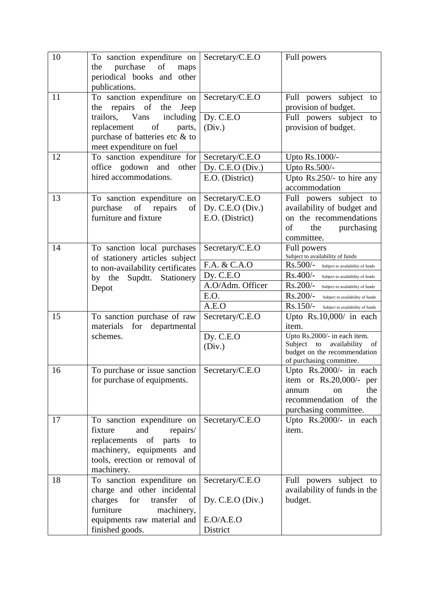| 10 | To sanction expenditure on                               | Secretary/C.E.O    | Full powers                                                   |
|----|----------------------------------------------------------|--------------------|---------------------------------------------------------------|
|    | purchase<br>of<br>the<br>maps                            |                    |                                                               |
|    | periodical books and other<br>publications.              |                    |                                                               |
| 11 | To sanction expenditure on                               | Secretary/C.E.O    | Full powers subject to                                        |
|    | the repairs of<br>the<br>Jeep                            |                    | provision of budget.                                          |
|    | trailors,<br>Vans<br>including                           | Dy. C.E.O          | Full powers subject<br>to                                     |
|    | of<br>replacement<br>parts,                              | (Div.)             | provision of budget.                                          |
|    | purchase of batteries etc & to                           |                    |                                                               |
|    | meet expenditure on fuel                                 |                    |                                                               |
| 12 | To sanction expenditure for                              | Secretary/C.E.O    | Upto Rs.1000/-                                                |
|    | office godown and other                                  | Dy. C.E.O (Div.)   | Upto Rs.500/-                                                 |
|    | hired accommodations.                                    | E.O. (District)    | Upto Rs.250/- to hire any                                     |
|    |                                                          |                    | accommodation                                                 |
| 13 | To sanction expenditure on                               | Secretary/C.E.O    | Full powers subject to                                        |
|    | repairs<br>purchase<br>of<br>of                          | Dy. C.E.O $(Div.)$ | availability of budget and                                    |
|    | furniture and fixture                                    | E.O. (District)    | on the recommendations                                        |
|    |                                                          |                    | of<br>purchasing<br>the                                       |
| 14 | To sanction local purchases                              | Secretary/C.E.O    | committee.                                                    |
|    | of stationery articles subject                           |                    | Full powers<br>Subject to availability of funds               |
|    | to non-availability certificates                         | F.A. & C.A.O       | Rs.500/-<br>Subject to availability of funds                  |
|    | Supdtt. Stationery<br>by the                             | Dy. C.E.O          | Rs.400/-<br>Subject to availability of funds                  |
|    | Depot                                                    | A.O/Adm. Officer   | Rs.200/-<br>Subject to availability of funds                  |
|    |                                                          | E.O.               | Rs.200/-<br>Subject to availability of funds                  |
|    |                                                          | A.E.O              | $Rs.150/-$<br>Subject to availability of funds                |
| 15 | To sanction purchase of raw                              | Secretary/C.E.O    | Upto Rs.10,000/ in each                                       |
|    | materials<br>for<br>departmental                         |                    | item.                                                         |
|    | schemes.                                                 | Dy. C.E.O          | Upto Rs.2000/- in each item.<br>Subject to<br>availability of |
|    |                                                          | (Div.)             | budget on the recommendation                                  |
|    |                                                          |                    | of purchasing committee.                                      |
| 16 | To purchase or issue sanction   Secretary/C.E.O          |                    | Upto $Rs.2000/-$ in each                                      |
|    | for purchase of equipments.                              |                    | item or Rs.20,000/- per                                       |
|    |                                                          |                    | the<br>annum<br>on                                            |
|    |                                                          |                    | recommendation of<br>the                                      |
|    |                                                          |                    | purchasing committee.                                         |
| 17 | To sanction expenditure on<br>fixture<br>and<br>repairs/ | Secretary/C.E.O    | Upto Rs.2000/- in each<br>item.                               |
|    | replacements of parts<br>to                              |                    |                                                               |
|    | machinery, equipments and                                |                    |                                                               |
|    | tools, erection or removal of                            |                    |                                                               |
|    | machinery.                                               |                    |                                                               |
| 18 | To sanction expenditure on                               | Secretary/C.E.O    | Full powers subject to                                        |
|    | charge and other incidental                              |                    | availability of funds in the                                  |
|    | charges<br>for<br>transfer<br>of                         | Dy. C.E.O $(Div.)$ | budget.                                                       |
|    | furniture<br>machinery,                                  |                    |                                                               |
|    | equipments raw material and                              | E.O/A.E.O          |                                                               |
|    | finished goods.                                          | District           |                                                               |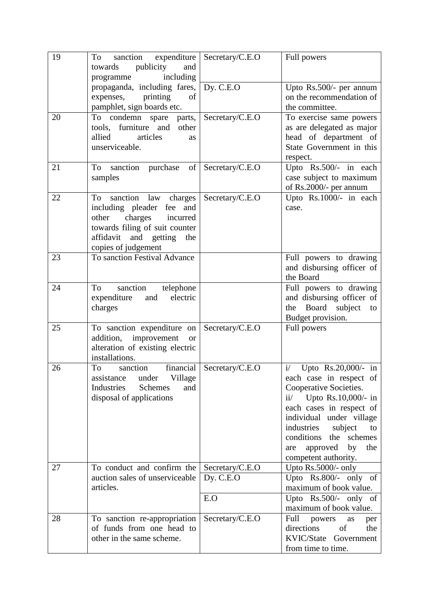| 19 | expenditure<br>sanction<br>To<br>publicity<br>and<br>towards                                                                                                                           | Secretary/C.E.O                     | Full powers                                                                                                                                                                                                                                                                                                  |
|----|----------------------------------------------------------------------------------------------------------------------------------------------------------------------------------------|-------------------------------------|--------------------------------------------------------------------------------------------------------------------------------------------------------------------------------------------------------------------------------------------------------------------------------------------------------------|
|    | including<br>programme<br>propaganda, including fares,<br>expenses, printing<br>of<br>pamphlet, sign boards etc.                                                                       | Dy. C.E.O                           | Upto Rs.500/- per annum<br>on the recommendation of<br>the committee.                                                                                                                                                                                                                                        |
| 20 | To condemn spare parts,<br>tools, furniture and<br>other<br>allied<br>articles<br>as<br>unserviceable.                                                                                 | Secretary/C.E.O                     | To exercise same powers<br>as are delegated as major<br>head of department of<br>State Government in this<br>respect.                                                                                                                                                                                        |
| 21 | of<br>To sanction purchase<br>samples                                                                                                                                                  | Secretary/C.E.O                     | Upto Rs.500/- in each<br>case subject to maximum<br>of Rs.2000/- per annum                                                                                                                                                                                                                                   |
| 22 | sanction<br>law charges<br>To<br>including pleader fee<br>and<br>charges incurred<br>other<br>towards filing of suit counter<br>and getting<br>affidavit<br>the<br>copies of judgement | Secretary/C.E.O                     | Upto Rs.1000/- in each<br>case.                                                                                                                                                                                                                                                                              |
| 23 | To sanction Festival Advance                                                                                                                                                           |                                     | Full powers to drawing<br>and disbursing officer of<br>the Board                                                                                                                                                                                                                                             |
| 24 | sanction<br>To<br>telephone<br>electric<br>expenditure<br>and<br>charges                                                                                                               |                                     | Full powers to drawing<br>and disbursing officer of<br>Board subject<br>the<br>to<br>Budget provision.                                                                                                                                                                                                       |
| 25 | To sanction expenditure on<br>improvement<br>addition,<br><b>or</b><br>alteration of existing electric<br>installations.                                                               | Secretary/C.E.O                     | Full powers                                                                                                                                                                                                                                                                                                  |
| 26 | finarcial<br>To<br>sanction<br>under<br>Village<br>assistance<br>Schemes<br>Industries<br>and<br>disposal of applications                                                              | Secretary/C.E.O                     | i/<br>Upto Rs.20,000/- in<br>each case in respect of<br>Cooperative Societies.<br>Upto $Rs.10,000/$ - in<br>$\mathbf{i} \mathbf{i}$<br>each cases in respect of<br>individual under village<br>industries<br>subject<br>to<br>conditions the schemes<br>approved<br>by<br>the<br>are<br>competent authority. |
| 27 | To conduct and confirm the<br>auction sales of unserviceable<br>articles.                                                                                                              | Secretary/C.E.O<br>Dy. C.E.O<br>E.O | Upto $Rs.5000/-$ only<br>Upto $Rs.800/-$ only of<br>maximum of book value.<br>Upto $Rs.500/-$ only of<br>maximum of book value.                                                                                                                                                                              |
| 28 | To sanction re-appropriation<br>of funds from one head to<br>other in the same scheme.                                                                                                 | Secretary/C.E.O                     | Full<br>powers<br>as<br>per<br>directions<br>of<br>the<br>KVIC/State Government<br>from time to time.                                                                                                                                                                                                        |